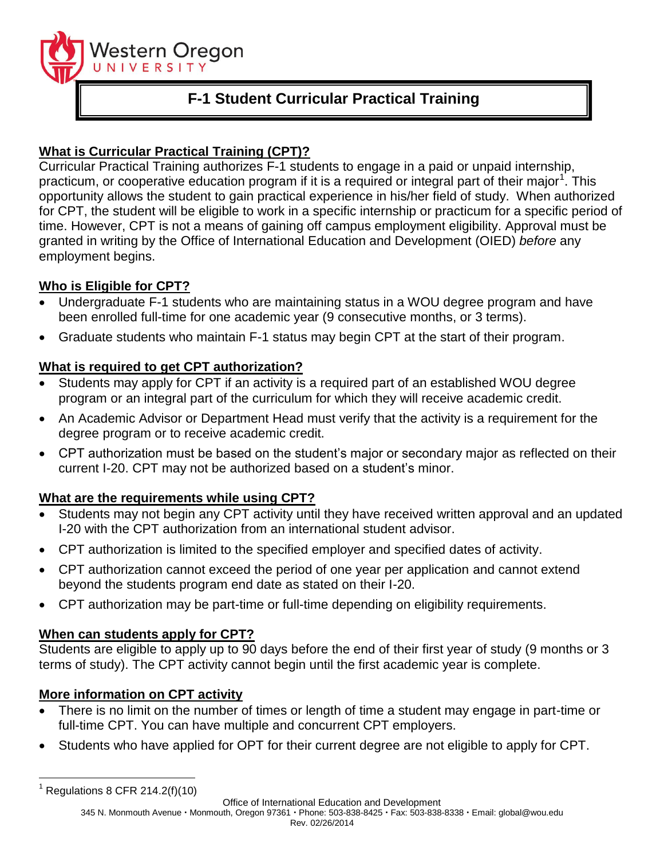

# **F-1 Student Curricular Practical Training**

# **What is Curricular Practical Training (CPT)?**

Curricular Practical Training authorizes F-1 students to engage in a paid or unpaid internship, practicum, or cooperative education program if it is a required or integral part of their major<sup>1</sup>. This opportunity allows the student to gain practical experience in his/her field of study. When authorized for CPT, the student will be eligible to work in a specific internship or practicum for a specific period of time. However, CPT is not a means of gaining off campus employment eligibility. Approval must be granted in writing by the Office of International Education and Development (OIED) *before* any employment begins.

# **Who is Eligible for CPT?**

- Undergraduate F-1 students who are maintaining status in a WOU degree program and have been enrolled full-time for one academic year (9 consecutive months, or 3 terms).
- Graduate students who maintain F-1 status may begin CPT at the start of their program.

### **What is required to get CPT authorization?**

- Students may apply for CPT if an activity is a required part of an established WOU degree program or an integral part of the curriculum for which they will receive academic credit.
- An Academic Advisor or Department Head must verify that the activity is a requirement for the degree program or to receive academic credit.
- CPT authorization must be based on the student's major or secondary major as reflected on their current I-20. CPT may not be authorized based on a student's minor.

### **What are the requirements while using CPT?**

- Students may not begin any CPT activity until they have received written approval and an updated I-20 with the CPT authorization from an international student advisor.
- CPT authorization is limited to the specified employer and specified dates of activity.
- CPT authorization cannot exceed the period of one year per application and cannot extend beyond the students program end date as stated on their I-20.
- CPT authorization may be part-time or full-time depending on eligibility requirements.

### **When can students apply for CPT?**

Students are eligible to apply up to 90 days before the end of their first year of study (9 months or 3 terms of study). The CPT activity cannot begin until the first academic year is complete.

### **More information on CPT activity**

- There is no limit on the number of times or length of time a student may engage in part-time or full-time CPT. You can have multiple and concurrent CPT employers.
- Students who have applied for OPT for their current degree are not eligible to apply for CPT.

Office of International Education and Development

345 N. Monmouth Avenue · Monmouth, Oregon 97361 · Phone: 503-838-8425 · Fax: 503-838-8338 · Email: global@wou.edu Rev. 02/26/2014

 $\overline{a}$  $1$  Regulations 8 CFR 214.2(f)(10)